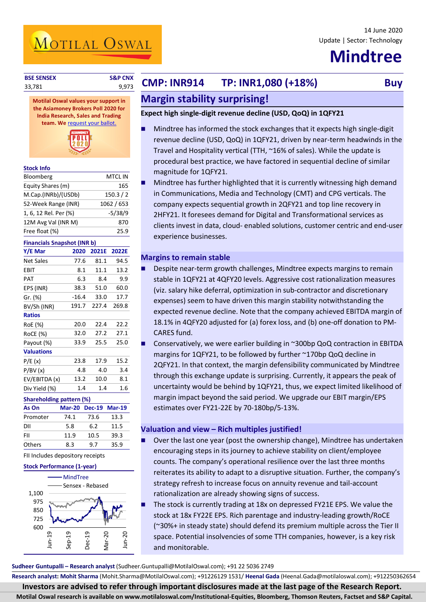### 14 June 2020 Update | Sector: Technology

# **Mindtree**

**Stock Info**

**BSE SENSEX S&P CNX CMP: INR914 TP: INR1,080 (+18%) Buy Buy** 

## **Margin stability surprising!**

## **Expect high single-digit revenue decline (USD, QoQ) in 1QFY21**

- Mindtree has informed the stock exchanges that it expects high single-digit revenue decline (USD, QoQ) in 1QFY21, driven by near-term headwinds in the Travel and Hospitality vertical (TTH, ~16% of sales). While the update is procedural best practice, we have factored in sequential decline of similar magnitude for 1QFY21.
- Mindtree has further highlighted that it is currently witnessing high demand in Communications, Media and Technology (CMT) and CPG verticals. The company expects sequential growth in 2QFY21 and top line recovery in 2HFY21. It foresees demand for Digital and Transformational services as clients invest in data, cloud- enabled solutions, customer centric and end-user experience businesses.

## **Margins to remain stable**

- Despite near-term growth challenges, Mindtree expects margins to remain stable in 1QFY21 at 4QFY20 levels. Aggressive cost rationalization measures (viz. salary hike deferral, optimization in sub-contractor and discretionary expenses) seem to have driven this margin stability notwithstanding the expected revenue decline. Note that the company achieved EBITDA margin of 18.1% in 4QFY20 adjusted for (a) forex loss, and (b) one-off donation to PM-CARES fund.
- Conservatively, we were earlier building in ~300bp QoQ contraction in EBITDA margins for 1QFY21, to be followed by further ~170bp QoQ decline in 2QFY21. In that context, the margin defensibility communicated by Mindtree through this exchange update is surprising. Currently, it appears the peak of uncertainty would be behind by 1QFY21, thus, we expect limited likelihood of margin impact beyond the said period. We upgrade our EBIT margin/EPS estimates over FY21-22E by 70-180bp/5-13%.

## **Valuation and view – Rich multiples justified!**

- Over the last one year (post the ownership change), Mindtree has undertaken encouraging steps in its journey to achieve stability on client/employee counts. The company's operational resilience over the last three months reiterates its ability to adapt to a disruptive situation. Further, the company's strategy refresh to increase focus on annuity revenue and tail-account rationalization are already showing signs of success.
- The stock is currently trading at 18x on depressed FY21E EPS. We value the stock at 18x FY22E EPS. Rich parentage and industry-leading growth/RoCE (~30%+ in steady state) should defend its premium multiple across the Tier II space. Potential insolvencies of some TTH companies, however, is a key risk and monitorable.

**Sudheer Guntupalli – Research analyst** (Sudheer.Guntupalli@MotilalOswal.com); +91 22 5036 2749

**Research analyst: Mohit Sharma** (Mohit.Sharma@MotilalOswal.com); +91226129 1531/ **Heenal Gada** (Heenal.Gada@motilaloswal.com); +912250362654

**Investors are advised to refer through important disclosures made at the last page of the Research Report.**

**Motilal Oswal research is available on www.motilaloswal.com/Institutional-Equities, Bloomberg, Thomson Reuters, Factset and S&P Capital.**



MOTILAL OSWAL

Bloomberg MTCL IN Equity Shares (m) 165 M.Cap.(INRb)/(USDb) 150.3 / 2 52-Week Range (INR) 1062 / 653 1, 6, 12 Rel. Per (%) -5/38/9 12M Avg Val (INR M) 870

| Free float (%)                     |               |               | 25.9          |  |  |  |
|------------------------------------|---------------|---------------|---------------|--|--|--|
| <b>Financials Snapshot (INR b)</b> |               |               |               |  |  |  |
| Y/E Mar                            | 2020          | 2021E         | 2022E         |  |  |  |
| <b>Net Sales</b>                   | 77.6          | 81.1          | 94.5          |  |  |  |
| EBIT                               | 8.1           | 11.1          | 13.2          |  |  |  |
| PAT                                | 6.3           | 8.4           | 9.9           |  |  |  |
| EPS (INR)                          | 38.3          | 51.0          | 60.0          |  |  |  |
| Gr. (%)                            | $-16.4$       | 33.0          | 17.7          |  |  |  |
| BV/Sh (INR)                        | 191.7         | 227.4         | 269.8         |  |  |  |
| <b>Ratios</b>                      |               |               |               |  |  |  |
| RoE (%)                            | 20.0          | 22.4          | 22.2          |  |  |  |
| <b>RoCE (%)</b>                    | 32.0          | 27.2          | 27.1          |  |  |  |
| Payout (%)                         | 33.9          | 25.5          | 25.0          |  |  |  |
| <b>Valuations</b>                  |               |               |               |  |  |  |
| P/E(x)                             | 23.8          | 17.9          | 15.2          |  |  |  |
| P/BV(x)                            | 4.8           | 4.0           | 3.4           |  |  |  |
| EV/EBITDA (x)                      | 13.2          | 10.0          | 8.1           |  |  |  |
| Div Yield (%)                      | 1.4           | 1.4           | 1.6           |  |  |  |
| <b>Shareholding pattern (%)</b>    |               |               |               |  |  |  |
| As On                              | <b>Mar-20</b> | <b>Dec-19</b> | <b>Mar-19</b> |  |  |  |
| Promoter                           | 74.1          | 73.6          | 13.3          |  |  |  |
| DII                                | 5.8           | 6.2           | 11.5          |  |  |  |

FII Includes depository receipts

FII 11.9 10.5 39.3 Others 8.3 9.7 35.9

### **Stock Performance (1-year)**

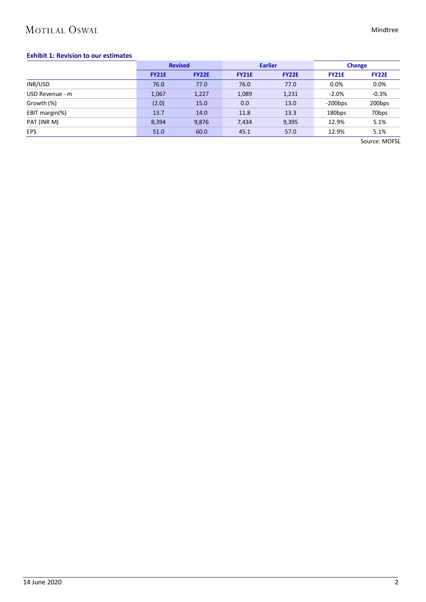## MOTILAL OSWAL

### Mindtree

### **Exhibit 1: Revision to our estimates**

|                 | <b>Revised</b> |              |              | <b>Earlier</b> | <b>Change</b> |                   |
|-----------------|----------------|--------------|--------------|----------------|---------------|-------------------|
|                 | <b>FY21E</b>   | <b>FY22E</b> | <b>FY21E</b> | <b>FY22E</b>   | <b>FY21E</b>  | <b>FY22E</b>      |
| INR/USD         | 76.0           | 77.0         | 76.0         | 77.0           | 0.0%          | 0.0%              |
| USD Revenue - m | 1,067          | 1,227        | 1,089        | 1,231          | $-2.0%$       | $-0.3%$           |
| Growth (%)      | (2.0)          | 15.0         | 0.0          | 13.0           | $-200$ bps    | 200bps            |
| EBIT margin(%)  | 13.7           | 14.0         | 11.8         | 13.3           | 180bps        | 70 <sub>bps</sub> |
| PAT (INR M)     | 8,394          | 9,876        | 7,434        | 9,395          | 12.9%         | 5.1%              |
| <b>EPS</b>      | 51.0           | 60.0         | 45.1         | 57.0           | 12.9%         | 5.1%              |

Source: MOFSL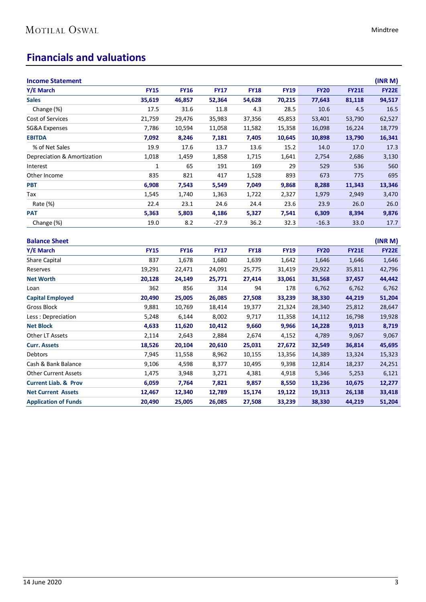## **Financials and valuations**

| <b>Income Statement</b>     |             |             |             |             |             |             |              | (INR M)      |
|-----------------------------|-------------|-------------|-------------|-------------|-------------|-------------|--------------|--------------|
| Y/E March                   | <b>FY15</b> | <b>FY16</b> | <b>FY17</b> | <b>FY18</b> | <b>FY19</b> | <b>FY20</b> | <b>FY21E</b> | <b>FY22E</b> |
| <b>Sales</b>                | 35,619      | 46,857      | 52,364      | 54,628      | 70,215      | 77,643      | 81,118       | 94,517       |
| Change (%)                  | 17.5        | 31.6        | 11.8        | 4.3         | 28.5        | 10.6        | 4.5          | 16.5         |
| Cost of Services            | 21,759      | 29,476      | 35,983      | 37,356      | 45,853      | 53,401      | 53,790       | 62,527       |
| SG&A Expenses               | 7,786       | 10,594      | 11,058      | 11,582      | 15,358      | 16,098      | 16,224       | 18,779       |
| <b>EBITDA</b>               | 7,092       | 8,246       | 7,181       | 7,405       | 10,645      | 10,898      | 13,790       | 16,341       |
| % of Net Sales              | 19.9        | 17.6        | 13.7        | 13.6        | 15.2        | 14.0        | 17.0         | 17.3         |
| Depreciation & Amortization | 1,018       | 1,459       | 1,858       | 1,715       | 1,641       | 2,754       | 2,686        | 3,130        |
| Interest                    | 1           | 65          | 191         | 169         | 29          | 529         | 536          | 560          |
| Other Income                | 835         | 821         | 417         | 1,528       | 893         | 673         | 775          | 695          |
| <b>PBT</b>                  | 6,908       | 7,543       | 5,549       | 7,049       | 9,868       | 8,288       | 11,343       | 13,346       |
| Tax                         | 1,545       | 1,740       | 1,363       | 1,722       | 2,327       | 1,979       | 2,949        | 3,470        |
| Rate (%)                    | 22.4        | 23.1        | 24.6        | 24.4        | 23.6        | 23.9        | 26.0         | 26.0         |
| <b>PAT</b>                  | 5,363       | 5,803       | 4,186       | 5,327       | 7,541       | 6,309       | 8,394        | 9,876        |
| Change (%)                  | 19.0        | 8.2         | $-27.9$     | 36.2        | 32.3        | $-16.3$     | 33.0         | 17.7         |
| <b>Balance Sheet</b>        |             |             |             |             |             |             |              | (INR M)      |

| Y/E March                       | <b>FY15</b> | <b>FY16</b> | <b>FY17</b> | <b>FY18</b> | <b>FY19</b> | <b>FY20</b> | <b>FY21E</b> | <b>FY22E</b> |
|---------------------------------|-------------|-------------|-------------|-------------|-------------|-------------|--------------|--------------|
| <b>Share Capital</b>            | 837         | 1,678       | 1,680       | 1,639       | 1,642       | 1,646       | 1,646        | 1,646        |
| Reserves                        | 19,291      | 22,471      | 24,091      | 25,775      | 31,419      | 29,922      | 35,811       | 42,796       |
| <b>Net Worth</b>                | 20,128      | 24,149      | 25,771      | 27,414      | 33,061      | 31,568      | 37,457       | 44,442       |
| Loan                            | 362         | 856         | 314         | 94          | 178         | 6,762       | 6,762        | 6,762        |
| <b>Capital Employed</b>         | 20,490      | 25,005      | 26,085      | 27,508      | 33,239      | 38,330      | 44,219       | 51,204       |
| Gross Block                     | 9,881       | 10,769      | 18,414      | 19,377      | 21,324      | 28,340      | 25,812       | 28,647       |
| Less: Depreciation              | 5,248       | 6,144       | 8,002       | 9,717       | 11,358      | 14,112      | 16,798       | 19,928       |
| <b>Net Block</b>                | 4,633       | 11,620      | 10,412      | 9,660       | 9,966       | 14,228      | 9,013        | 8,719        |
| Other LT Assets                 | 2,114       | 2,643       | 2,884       | 2,674       | 4,152       | 4,789       | 9,067        | 9,067        |
| <b>Curr. Assets</b>             | 18,526      | 20,104      | 20,610      | 25,031      | 27,672      | 32,549      | 36,814       | 45,695       |
| <b>Debtors</b>                  | 7,945       | 11,558      | 8,962       | 10,155      | 13,356      | 14,389      | 13,324       | 15,323       |
| Cash & Bank Balance             | 9,106       | 4,598       | 8,377       | 10,495      | 9,398       | 12,814      | 18,237       | 24,251       |
| <b>Other Current Assets</b>     | 1,475       | 3,948       | 3,271       | 4,381       | 4,918       | 5,346       | 5,253        | 6,121        |
| <b>Current Liab. &amp; Prov</b> | 6,059       | 7,764       | 7,821       | 9,857       | 8,550       | 13,236      | 10,675       | 12,277       |
| <b>Net Current Assets</b>       | 12,467      | 12,340      | 12,789      | 15,174      | 19,122      | 19,313      | 26,138       | 33,418       |
| <b>Application of Funds</b>     | 20,490      | 25,005      | 26,085      | 27,508      | 33,239      | 38,330      | 44,219       | 51,204       |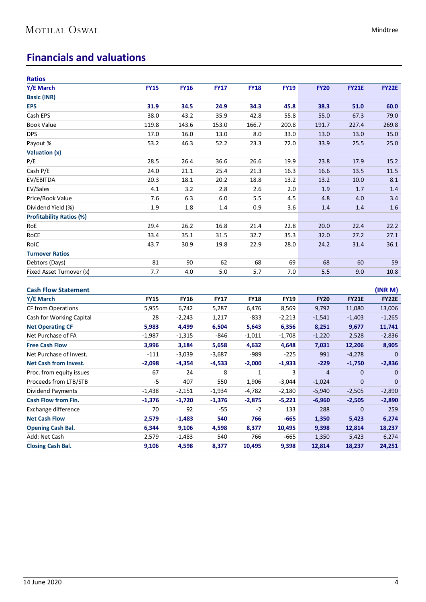## **Financials and valuations**

| <b>Ratios</b>                   |             |             |             |             |             |                |              |              |
|---------------------------------|-------------|-------------|-------------|-------------|-------------|----------------|--------------|--------------|
| Y/E March                       | <b>FY15</b> | <b>FY16</b> | <b>FY17</b> | <b>FY18</b> | <b>FY19</b> | <b>FY20</b>    | <b>FY21E</b> | <b>FY22E</b> |
| <b>Basic (INR)</b>              |             |             |             |             |             |                |              |              |
| <b>EPS</b>                      | 31.9        | 34.5        | 24.9        | 34.3        | 45.8        | 38.3           | 51.0         | 60.0         |
| Cash EPS                        | 38.0        | 43.2        | 35.9        | 42.8        | 55.8        | 55.0           | 67.3         | 79.0         |
| <b>Book Value</b>               | 119.8       | 143.6       | 153.0       | 166.7       | 200.8       | 191.7          | 227.4        | 269.8        |
| <b>DPS</b>                      | 17.0        | 16.0        | 13.0        | 8.0         | 33.0        | 13.0           | 13.0         | 15.0         |
| Payout %                        | 53.2        | 46.3        | 52.2        | 23.3        | 72.0        | 33.9           | 25.5         | 25.0         |
| Valuation (x)                   |             |             |             |             |             |                |              |              |
| P/E                             | 28.5        | 26.4        | 36.6        | 26.6        | 19.9        | 23.8           | 17.9         | 15.2         |
| Cash P/E                        | 24.0        | 21.1        | 25.4        | 21.3        | 16.3        | 16.6           | 13.5         | 11.5         |
| EV/EBITDA                       | 20.3        | 18.1        | 20.2        | 18.8        | 13.2        | 13.2           | 10.0         | 8.1          |
| EV/Sales                        | 4.1         | 3.2         | 2.8         | 2.6         | 2.0         | 1.9            | 1.7          | 1.4          |
| Price/Book Value                | 7.6         | 6.3         | 6.0         | 5.5         | 4.5         | 4.8            | 4.0          | 3.4          |
| Dividend Yield (%)              | 1.9         | 1.8         | 1.4         | 0.9         | 3.6         | 1.4            | 1.4          | 1.6          |
| <b>Profitability Ratios (%)</b> |             |             |             |             |             |                |              |              |
| RoE                             | 29.4        | 26.2        | 16.8        | 21.4        | 22.8        | 20.0           | 22.4         | 22.2         |
| RoCE                            | 33.4        | 35.1        | 31.5        | 32.7        | 35.3        | 32.0           | 27.2         | 27.1         |
| RoIC                            | 43.7        | 30.9        | 19.8        | 22.9        | 28.0        | 24.2           | 31.4         | 36.1         |
| <b>Turnover Ratios</b>          |             |             |             |             |             |                |              |              |
| Debtors (Days)                  | 81          | 90          | 62          | 68          | 69          | 68             | 60           | 59           |
| Fixed Asset Turnover (x)        | 7.7         | 4.0         | 5.0         | 5.7         | 7.0         | 5.5            | 9.0          | 10.8         |
|                                 |             |             |             |             |             |                |              |              |
| <b>Cash Flow Statement</b>      |             |             |             |             |             |                |              | (INR M)      |
| Y/E March                       | <b>FY15</b> | <b>FY16</b> | <b>FY17</b> | <b>FY18</b> | <b>FY19</b> | <b>FY20</b>    | <b>FY21E</b> | <b>FY22E</b> |
| <b>CF from Operations</b>       | 5,955       | 6,742       | 5,287       | 6,476       | 8,569       | 9,792          | 11,080       | 13,006       |
| Cash for Working Capital        | 28          | $-2,243$    | 1,217       | -833        | $-2,213$    | $-1,541$       | $-1,403$     | $-1,265$     |
| <b>Net Operating CF</b>         | 5,983       | 4,499       | 6,504       | 5,643       | 6,356       | 8,251          | 9,677        | 11,741       |
| Net Purchase of FA              | $-1,987$    | $-1,315$    | $-846$      | $-1,011$    | $-1,708$    | $-1,220$       | 2,528        | $-2,836$     |
| <b>Free Cash Flow</b>           | 3,996       | 3,184       | 5,658       | 4,632       | 4,648       | 7,031          | 12,206       | 8,905        |
| Net Purchase of Invest.         | $-111$      | $-3,039$    | $-3,687$    | $-989$      | -225        | 991            | $-4,278$     | $\mathbf 0$  |
| <b>Net Cash from Invest.</b>    | $-2,098$    | $-4,354$    | $-4,533$    | $-2,000$    | $-1,933$    | $-229$         | $-1,750$     | $-2,836$     |
| Proc. from equity issues        | 67          | 24          | 8           | 1           | 3           | $\overline{4}$ | 0            | 0            |
| Proceeds from LTB/STB           | -5          | 407         | 550         | 1,906       | $-3,044$    | $-1,024$       | 0            | $\mathbf 0$  |
| Dividend Payments               | $-1,438$    | $-2,151$    | $-1,934$    | $-4,782$    | $-2,180$    | $-5,940$       | $-2,505$     | $-2,890$     |
| <b>Cash Flow from Fin.</b>      | $-1,376$    | $-1,720$    | $-1,376$    | $-2,875$    | $-5,221$    | $-6,960$       | $-2,505$     | $-2,890$     |
| Exchange difference             | 70          | 92          | $-55$       | $-2$        | 133         | 288            | 0            | 259          |
| <b>Net Cash Flow</b>            | 2,579       | $-1,483$    | 540         | 766         | $-665$      | 1,350          | 5,423        | 6,274        |
| <b>Opening Cash Bal.</b>        | 6,344       | 9,106       | 4,598       | 8,377       | 10,495      | 9,398          | 12,814       | 18,237       |
| Add: Net Cash                   | 2,579       | $-1,483$    | 540         | 766         | -665        | 1,350          | 5,423        | 6,274        |
| <b>Closing Cash Bal.</b>        | 9,106       | 4,598       | 8,377       | 10,495      | 9,398       | 12,814         | 18,237       | 24,251       |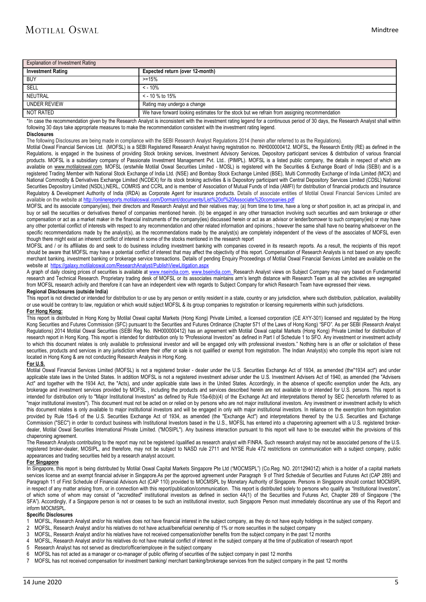| <b>Explanation of Investment Rating</b> |                                                                                              |
|-----------------------------------------|----------------------------------------------------------------------------------------------|
| <b>Investment Rating</b>                | Expected return (over 12-month)                                                              |
| <b>BUY</b>                              | $> = 15%$                                                                                    |
| SELL                                    | $\leq$ - 10%                                                                                 |
| NEUTRAL                                 | $\le$ - 10 % to 15%                                                                          |
| UNDER REVIEW                            | Rating may undergo a change                                                                  |
| NOT RATED                               | We have forward looking estimates for the stock but we refrain from assigning recommendation |

\*In case the recommendation given by the Research Analyst is inconsistent with the investment rating legend for a continuous period of 30 days, the Research Analyst shall within following 30 days take appropriate measures to make the recommendation consistent with the investment rating legend.

#### **Disclosures**

The following Disclosures are being made in compliance with the SEBI Research Analyst Regulations 2014 (herein after referred to as the Regulations).

Motilal Oswal Financial Services Ltd. (MOFSL) is a SEBI Registered Research Analyst having registration no. INH000000412. MOFSL, the Research Entity (RE) as defined in the Regulations, is engaged in the business of providing Stock broking services, Investment Advisory Services, Depository participant services & distribution of various financial products. MOFSL is a subsidiary company of Passionate Investment Management Pvt. Ltd.. (PIMPL). MOFSL is a listed public company, the details in respect of which are available on [www.motilaloswal.com.](http://www.motilaloswal.com/) MOFSL (erstwhile Motilal Oswal Securities Limited - MOSL) is registered with the Securities & Exchange Board of India (SEBI) and is a registered Trading Member with National Stock Exchange of India Ltd. (NSE) and Bombay Stock Exchange Limited (BSE), Multi Commodity Exchange of India Limited (MCX) and National Commodity & Derivatives Exchange Limited (NCDEX) for its stock broking activities & is Depository participant with Central Depository Services Limited (CDSL) National Securities Depository Limited (NSDL),NERL, COMRIS and CCRL and is member of Association of Mutual Funds of India (AMFI) for distribution of financial products and Insurance Regulatory & Development Authority of India (IRDA) as Corporate Agent for insurance products. Details of associate entities of Motilal Oswal Financial Services Limited are available on the website at http://onlinereports.m available on the website at http://onlinereports.motilaloswal.com/Dormant/documents/List%

MOFSL and its associate company(ies), their directors and Research Analyst and their relatives may; (a) from time to time, have a long or short position in, act as principal in, and buy or sell the securities or derivatives thereof of companies mentioned herein. (b) be engaged in any other transaction involving such securities and earn brokerage or other compensation or act as a market maker in the financial instruments of the company(ies) discussed herein or act as an advisor or lender/borrower to such company(ies) or may have any other potential conflict of interests with respect to any recommendation and other related information and opinions.; however the same shall have no bearing whatsoever on the specific recommendations made by the analyst(s), as the recommendations made by the analyst(s) are completely independent of the views of the associates of MOFSL even though there might exist an inherent conflict of interest in some of the stocks mentioned in the research report

MOFSL and / or its affiliates do and seek to do business including investment banking with companies covered in its research reports. As a result, the recipients of this report should be aware that MOFSL may have a potential conflict of interest that may affect the objectivity of this report. Compensation of Research Analysts is not based on any specific merchant banking, investment banking or brokerage service transactions. Details of pending Enquiry Proceedings of Motilal Oswal Financial Services Limited are available on the website at<https://galaxy.motilaloswal.com/ResearchAnalyst/PublishViewLitigation.aspx>

A graph of daily closing prices of securities is available at [www.nseindia.com,](http://www.nseindia.com/) [www.bseindia.com.](http://www.bseindia.com/) Research Analyst views on Subject Company may vary based on Fundamental research and Technical Research. Proprietary trading desk of MOFSL or its associates maintains arm's length distance with Research Team as all the activities are segregated from MOFSL research activity and therefore it can have an independent view with regards to Subject Company for which Research Team have expressed their views.

### **Regional Disclosures (outside India)**

This report is not directed or intended for distribution to or use by any person or entity resident in a state, country or any jurisdiction, where such distribution, publication, availability or use would be contrary to law, regulation or which would subject MOFSL & its group companies to registration or licensing requirements within such jurisdictions. **For Hong Kong:** 

This report is distributed in Hong Kong by Motilal Oswal capital Markets (Hong Kong) Private Limited, a licensed corporation (CE AYY-301) licensed and regulated by the Hong Kong Securities and Futures Commission (SFC) pursuant to the Securities and Futures Ordinance (Chapter 571 of the Laws of Hong Kong) "SFO". As per SEBI (Research Analyst Regulations) 2014 Motilal Oswal Securities (SEBI Reg No. INH000000412) has an agreement with Motilal Oswal capital Markets (Hong Kong) Private Limited for distribution of research report in Hong Kong. This report is intended for distribution only to "Professional Investors" as defined in Part I of Schedule 1 to SFO. Any investment or investment activity to which this document relates is only available to professional investor and will be engaged only with professional investors." Nothing here is an offer or solicitation of these securities, products and services in any jurisdiction where their offer or sale is not qualified or exempt from registration. The Indian Analyst(s) who compile this report is/are not located in Hong Kong & are not conducting Research Analysis in Hong Kong.

#### **For U.S.**

Motilal Oswal Financial Services Limited (MOFSL) is not a registered broker - dealer under the U.S. Securities Exchange Act of 1934, as amended (the"1934 act") and under applicable state laws in the United States. In addition MOFSL is not a registered investment adviser under the U.S. Investment Advisers Act of 1940, as amended (the "Advisers Act" and together with the 1934 Act, the "Acts), and under applicable state laws in the United States. Accordingly, in the absence of specific exemption under the Acts, any brokerage and investment services provided by MOFSL , including the products and services described herein are not available to or intended for U.S. persons. This report is intended for distribution only to "Major Institutional Investors" as defined by Rule 15a-6(b)(4) of the Exchange Act and interpretations thereof by SEC (henceforth referred to as "major institutional investors"). This document must not be acted on or relied on by persons who are not major institutional investors. Any investment or investment activity to which this document relates is only available to major institutional investors and will be engaged in only with major institutional investors. In reliance on the exemption from registration provided by Rule 15a-6 of the U.S. Securities Exchange Act of 1934, as amended (the "Exchange Act") and interpretations thereof by the U.S. Securities and Exchange Commission ("SEC") in order to conduct business with Institutional Investors based in the U.S., MOFSL has entered into a chaperoning agreement with a U.S. registered brokerdealer, Motilal Oswal Securities International Private Limited. ("MOSIPL"). Any business interaction pursuant to this report will have to be executed within the provisions of this chaperoning agreement.

The Research Analysts contributing to the report may not be registered /qualified as research analyst with FINRA. Such research analyst may not be associated persons of the U.S. registered broker-dealer, MOSIPL, and therefore, may not be subject to NASD rule 2711 and NYSE Rule 472 restrictions on communication with a subject company, public appearances and trading securities held by a research analyst account.

### **For Singapore**

In Singapore, this report is being distributed by Motilal Oswal Capital Markets Singapore Pte Ltd ("MOCMSPL") (Co.Reg. NO. 201129401Z) which is a holder of a capital markets services license and an exempt financial adviser in Singapore.As per the approved agreement under Paragraph 9 of Third Schedule of Securities and Futures Act (CAP 289) and Paragraph 11 of First Schedule of Financial Advisors Act (CAP 110) provided to MOCMSPL by Monetary Authority of Singapore. Persons in Singapore should contact MOCMSPL in respect of any matter arising from, or in connection with this report/publication/communication. This report is distributed solely to persons who qualify as "Institutional Investors", of which some of whom may consist of "accredited" institutional investors as defined in section 4A(1) of the Securities and Futures Act, Chapter 289 of Singapore ("the SFA"). Accordingly, if a Singapore person is not or ceases to be such an institutional investor, such Singapore Person must immediately discontinue any use of this Report and inform MOCMSPL.

#### **Specific Disclosures**

- 1 MOFSL, Research Analyst and/or his relatives does not have financial interest in the subject company, as they do not have equity holdings in the subject company.<br>2 MOFSL, Research Analyst and/or his relatives do not have
- 2 MOFSL, Research Analyst and/or his relatives do not have actual/beneficial ownership of 1% or more securities in the subject company
- 3 MOFSL, Research Analyst and/or his relatives have not received compensation/other benefits from the subject company in the past 12 months
- 4 MOFSL, Research Analyst and/or his relatives do not have material conflict of interest in the subject company at the time of publication of research report
- 5 Research Analyst has not served as director/officer/employee in the subject company<br>6 MOESL has not acted as a manager or co-manager of public offering of securities of t
- 6 MOFSL has not acted as a manager or co-manager of public offering of securities of the subject company in past 12 months
- 7 MOFSL has not received compensation for investment banking/ merchant banking/brokerage services from the subject company in the past 12 months